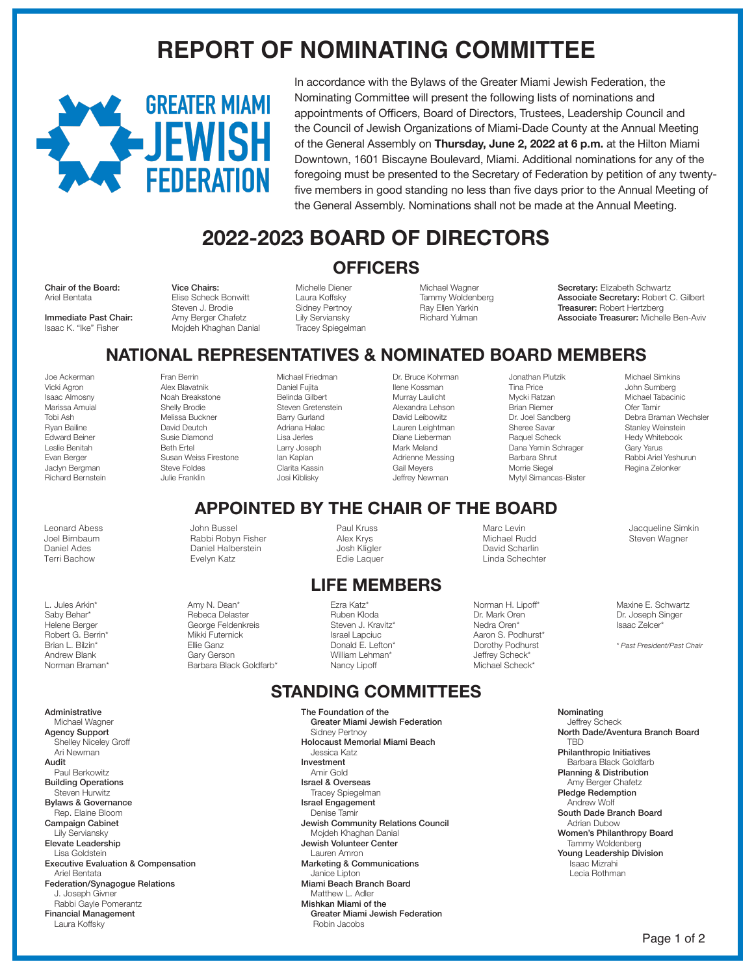# **REPORT OF NOMINATING COMMITTEE**



In accordance with the Bylaws of the Greater Miami Jewish Federation, the Nominating Committee will present the following lists of nominations and appointments of Officers, Board of Directors, Trustees, Leadership Council and the Council of Jewish Organizations of Miami-Dade County at the Annual Meeting of the General Assembly on **Thursday, June 2, 2022 at 6 p.m.** at the Hilton Miami Downtown, 1601 Biscayne Boulevard, Miami. Additional nominations for any of the foregoing must be presented to the Secretary of Federation by petition of any twentyfive members in good standing no less than five days prior to the Annual Meeting of the General Assembly. Nominations shall not be made at the Annual Meeting.

# **2022-2023 BOARD OF DIRECTORS**

### **OFFICERS**

Chair of the Board: Ariel Bentata

Immediate Past Chair: Isaac K. "Ike" Fisher

Vice Chairs: Elise Scheck Bonwitt Steven J. Brodie Amy Berger Chafetz Mojdeh Khaghan Danial

> Fran Berrin Alex Blavatnik Noah Breakstone Shelly Brodie Melissa Buckner David Deutch Susie Diamond Beth Ertel

Susan Weiss Firestone Steve Foldes Julie Franklin

> John Bussel Rabbi Robyn Fisher Daniel Halberstein Evelyn Katz

Amy N. Dean\* Rebeca Delaster George Feldenkreis Mikki Futernick Ellie Ganz Gary Gerson Barbara Black Goldfarb\*

Michelle Diener Laura Koffsky Sidney Pertnoy Lily Serviansky Tracey Spiegelman

Michael Friedman Daniel Fujita Belinda Gilbert Steven Gretenstein Barry Gurland Adriana Halac Lisa Jerles Larry Joseph Ian Kaplan Clarita Kassin Josi Kiblisky

Michael Wagner Tammy Woldenberg Ray Ellen Yarkin Richard Yulman

Dr. Bruce Kohrman Ilene Kossman Murray Laulicht Alexandra Lehson David Leibowitz Lauren Leightman Diane Lieberman Mark Meland Adrienne Messing Gail Meyers Jeffrey Newman

Secretary: Elizabeth Schwartz Associate Secretary: Robert C. Gilbert Treasurer: Robert Hertzberg Associate Treasurer: Michelle Ben-Aviv

# **NATIONAL REPRESENTATIVES & NOMINATED BOARD MEMBERS**

Joe Ackerman Vicki Agron Isaac Almosny Marissa Amuial Tobi Ash Ryan Bailine Edward Beiner Leslie Benitah Evan Berger Jaclyn Bergman Richard Bernstein

Leonard Abess Joel Birnbaum Daniel Ades Terri Bachow

L. Jules Arkin\* Saby Behar\* Helene Berger Robert G. Berrin\* Brian L. Bilzin\* Andrew Blank Norman Braman\*

Administrative Michael Wagner Agency Support Shelley Niceley Groff Ari Newman Audit Paul Berkowitz Building Operations Steven Hurwitz Bylaws & Governance Rep. Elaine Bloom Campaign Cabinet Lily Serviansky Elevate Leadership Lisa Goldstein Executive Evaluation & Compensation Ariel Bentata Federation/Synagogue Relations J. Joseph Givner Rabbi Gayle Pomerantz Financial Management Laura Koffsky

#### Paul Kruss Alex Krys Josh Kligler Edie Laquer

#### **LIFE MEMBERS**

**APPOINTED BY THE CHAIR OF THE BOARD** 

Ezra Katz\* Ruben Kloda Steven J. Kravitz\* Israel Lapciuc Donald E. Lefton\* William Lehman\* Nancy Lipoff

### **STANDING COMMITTEES**

The Foundation of the Greater Miami Jewish Federation Sidney Pertnoy Holocaust Memorial Miami Beach Jessica Katz Investment Amir Gold Israel & Overseas Tracey Spiegelman Israel Engagement Denise Tamir Jewish Community Relations Council Mojdeh Khaghan Danial Jewish Volunteer Center Lauren Amron Marketing & Communications Janice Lipton Miami Beach Branch Board Matthew L. Adler Mishkan Miami of the Greater Miami Jewish Federation Robin Jacobs

Mycki Ratzan Brian Riemer Dr. Joel Sandberg Sheree Savar Raquel Scheck Dana Yemin Schrager Barbara Shrut Morrie Siegel Mytyl Simancas-Bister

Marc Levin Michael Rudd David Scharlin Linda Schechter

Norman H. Lipoff\* Dr. Mark Oren Nedra Oren\* Aaron S. Podhurst\* Dorothy Podhurst Jeffrey Scheck\* Michael Scheck\*

Jonathan Plutzik Tina Price

Michael Simkins John Sumberg Michael Tabacinic Ofer Tamir Debra Braman Wechsler Stanley Weinstein Hedy Whitebook Gary Yarus Rabbi Ariel Yeshurun Regina Zelonker

Jacqueline Simkin Steven Wagner

Maxine E. Schwartz Dr. Joseph Singer Isaac Zelcer\*

*\* Past President/Past Chair*

Nominating Jeffrey Scheck North Dade/Aventura Branch Board **TRD** Philanthropic Initiatives Barbara Black Goldfarb Planning & Distribution Amy Berger Chafetz Pledge Redemption Andrew Wolf South Dade Branch Board Adrian Dubow Women's Philanthropy Board Tammy Woldenberg Young Leadership Division Isaac Mizrahi Lecia Rothman